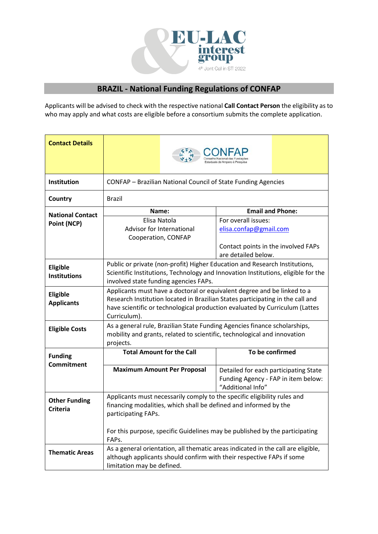

## **BRAZIL - National Funding Regulations of CONFAP**

Applicants will be advised to check with the respective national **Call Contact Person** the eligibility as to who may apply and what costs are eligible before a consortium submits the complete application.

| <b>Contact Details</b>  |                                                                                                                                                           |                                                          |  |  |  |  |
|-------------------------|-----------------------------------------------------------------------------------------------------------------------------------------------------------|----------------------------------------------------------|--|--|--|--|
| Institution             | CONFAP - Brazilian National Council of State Funding Agencies                                                                                             |                                                          |  |  |  |  |
| Country                 | <b>Brazil</b>                                                                                                                                             |                                                          |  |  |  |  |
|                         | <b>Email and Phone:</b><br>Name:                                                                                                                          |                                                          |  |  |  |  |
| <b>National Contact</b> | Elisa Natola                                                                                                                                              | For overall issues:                                      |  |  |  |  |
| Point (NCP)             | Advisor for International<br>elisa.confap@gmail.com                                                                                                       |                                                          |  |  |  |  |
|                         | Cooperation, CONFAP                                                                                                                                       |                                                          |  |  |  |  |
|                         | Contact points in the involved FAPs                                                                                                                       |                                                          |  |  |  |  |
|                         | are detailed below.                                                                                                                                       |                                                          |  |  |  |  |
|                         | Public or private (non-profit) Higher Education and Research Institutions,                                                                                |                                                          |  |  |  |  |
| Eligible                |                                                                                                                                                           |                                                          |  |  |  |  |
| <b>Institutions</b>     | Scientific Institutions, Technology and Innovation Institutions, eligible for the                                                                         |                                                          |  |  |  |  |
|                         | involved state funding agencies FAPs.                                                                                                                     |                                                          |  |  |  |  |
| Eligible                | Applicants must have a doctoral or equivalent degree and be linked to a<br>Research Institution located in Brazilian States participating in the call and |                                                          |  |  |  |  |
| <b>Applicants</b>       |                                                                                                                                                           |                                                          |  |  |  |  |
|                         | have scientific or technological production evaluated by Curriculum (Lattes                                                                               |                                                          |  |  |  |  |
|                         | Curriculum).                                                                                                                                              |                                                          |  |  |  |  |
| <b>Eligible Costs</b>   | As a general rule, Brazilian State Funding Agencies finance scholarships,<br>mobility and grants, related to scientific, technological and innovation     |                                                          |  |  |  |  |
|                         |                                                                                                                                                           |                                                          |  |  |  |  |
|                         | projects.<br>To be confirmed<br><b>Total Amount for the Call</b>                                                                                          |                                                          |  |  |  |  |
| <b>Funding</b>          |                                                                                                                                                           |                                                          |  |  |  |  |
| <b>Commitment</b>       | <b>Maximum Amount Per Proposal</b>                                                                                                                        |                                                          |  |  |  |  |
|                         |                                                                                                                                                           | Detailed for each participating State                    |  |  |  |  |
|                         |                                                                                                                                                           | Funding Agency - FAP in item below:<br>"Additional Info" |  |  |  |  |
|                         |                                                                                                                                                           |                                                          |  |  |  |  |
| <b>Other Funding</b>    | Applicants must necessarily comply to the specific eligibility rules and                                                                                  |                                                          |  |  |  |  |
| <b>Criteria</b>         | financing modalities, which shall be defined and informed by the                                                                                          |                                                          |  |  |  |  |
|                         | participating FAPs.                                                                                                                                       |                                                          |  |  |  |  |
|                         |                                                                                                                                                           |                                                          |  |  |  |  |
|                         | For this purpose, specific Guidelines may be published by the participating<br>FAPs.                                                                      |                                                          |  |  |  |  |
| <b>Thematic Areas</b>   | As a general orientation, all thematic areas indicated in the call are eligible,                                                                          |                                                          |  |  |  |  |
|                         | although applicants should confirm with their respective FAPs if some                                                                                     |                                                          |  |  |  |  |
|                         | limitation may be defined.                                                                                                                                |                                                          |  |  |  |  |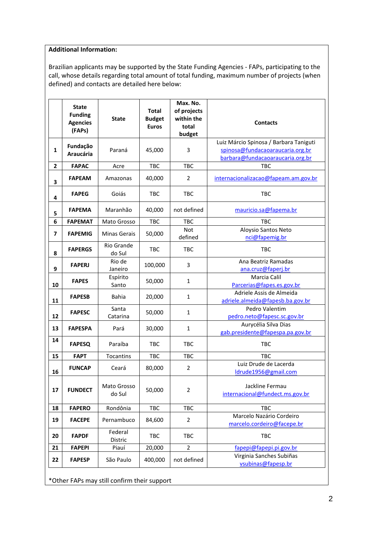## **Additional Information:**

Brazilian applicants may be supported by the State Funding Agencies - FAPs, participating to the call, whose details regarding total amount of total funding, maximum number of projects (when defined) and contacts are detailed here below:

|              | <b>State</b><br><b>Funding</b><br><b>Agencies</b><br>(FAPs) | <b>State</b>          | <b>Total</b><br><b>Budget</b><br><b>Euros</b> | Max. No.<br>of projects<br>within the<br>total<br>budget | <b>Contacts</b>                                        |  |  |
|--------------|-------------------------------------------------------------|-----------------------|-----------------------------------------------|----------------------------------------------------------|--------------------------------------------------------|--|--|
|              | Fundação                                                    |                       |                                               |                                                          | Luiz Márcio Spinosa / Barbara Taniguti                 |  |  |
| $\mathbf{1}$ | <b>Araucária</b>                                            | Paraná                | 45,000                                        | 3                                                        | spinosa@fundacaoaraucaria.org.br                       |  |  |
|              |                                                             |                       |                                               |                                                          | barbara@fundacaoaraucaria.org.br                       |  |  |
| $\mathbf{2}$ | <b>FAPAC</b>                                                | Acre                  | <b>TBC</b>                                    | <b>TBC</b>                                               | <b>TBC</b>                                             |  |  |
| 3            | <b>FAPEAM</b>                                               | Amazonas              | 40,000                                        | 2                                                        | internacionalizacao@fapeam.am.gov.br                   |  |  |
| 4            | <b>FAPEG</b>                                                | Goiás                 | <b>TBC</b>                                    | <b>TBC</b>                                               | <b>TBC</b>                                             |  |  |
| 5            | <b>FAPEMA</b>                                               | Maranhão              | 40,000                                        | not defined                                              | mauricio.sa@fapema.br                                  |  |  |
| 6            | <b>FAPEMAT</b>                                              | Mato Grosso           | TBC                                           | <b>TBC</b>                                               | <b>TBC</b>                                             |  |  |
| 7            | <b>FAPEMIG</b>                                              | <b>Minas Gerais</b>   | 50,000                                        | <b>Not</b>                                               | Aloysio Santos Neto                                    |  |  |
|              |                                                             |                       |                                               | defined                                                  | nci@fapemig.br                                         |  |  |
| 8            | <b>FAPERGS</b>                                              | Rio Grande<br>do Sul  | <b>TBC</b>                                    | <b>TBC</b>                                               | TBC                                                    |  |  |
| 9            | <b>FAPERJ</b>                                               | Rio de<br>Janeiro     | 100,000                                       | 3                                                        | Ana Beatriz Ramadas<br>ana.cruz@faperj.br              |  |  |
|              |                                                             | Espírito              |                                               |                                                          | Marcia Calil                                           |  |  |
| 10           | <b>FAPES</b>                                                | Santo                 | 50,000                                        | 1                                                        | Parcerias@fapes.es.gov.br                              |  |  |
|              | <b>FAPESB</b>                                               | <b>Bahia</b>          | 20,000                                        | $\mathbf{1}$                                             | Adriele Assis de Almeida                               |  |  |
| 11           |                                                             |                       |                                               |                                                          | adriele.almeida@fapesb.ba.gov.br                       |  |  |
|              | <b>FAPESC</b>                                               | Santa                 | 50,000                                        | $\mathbf{1}$                                             | Pedro Valentim                                         |  |  |
| 12           |                                                             | Catarina              |                                               |                                                          | pedro.neto@fapesc.sc.gov.br                            |  |  |
| 13           | <b>FAPESPA</b>                                              | Pará                  | 30,000                                        | 1                                                        | Aurycélia Silva Dias                                   |  |  |
|              |                                                             |                       |                                               |                                                          | gab.presidente@fapespa.pa.gov.br                       |  |  |
| 14           | <b>FAPESQ</b>                                               | Paraíba               | <b>TBC</b>                                    | <b>TBC</b>                                               | <b>TBC</b>                                             |  |  |
| 15           | <b>FAPT</b>                                                 | Tocantins             | TBC                                           | TBC                                                      | <b>TBC</b>                                             |  |  |
| 16           | <b>FUNCAP</b>                                               | Ceará                 | 80,000                                        | $\overline{2}$                                           | Luiz Drude de Lacerda<br>ldrude1956@gmail.com          |  |  |
| 17           | <b>FUNDECT</b>                                              | Mato Grosso<br>do Sul | 50,000                                        | $\overline{2}$                                           | Jackline Fermau<br>internacional@fundect.ms.gov.br     |  |  |
| 18           | <b>FAPERO</b>                                               | Rondônia              | TBC                                           | <b>TBC</b>                                               | TBC                                                    |  |  |
| 19           | <b>FACEPE</b>                                               | Pernambuco            | 84,600                                        | 2                                                        | Marcelo Nazário Cordeiro<br>marcelo.cordeiro@facepe.br |  |  |
| 20           | <b>FAPDF</b>                                                | Federal<br>Distric    | TBC                                           | TBC                                                      | TBC                                                    |  |  |
| 21           | <b>FAPEPI</b>                                               | Piauí                 | 20,000                                        | $\overline{2}$                                           | fapepi@fapepi.pi.gov.br                                |  |  |
| 22           | <b>FAPESP</b>                                               | São Paulo             | 400,000                                       | not defined                                              | Virginia Sanches Subiñas<br>vsubinas@fapesp.br         |  |  |
|              | *Other FAPs may still confirm their support                 |                       |                                               |                                                          |                                                        |  |  |